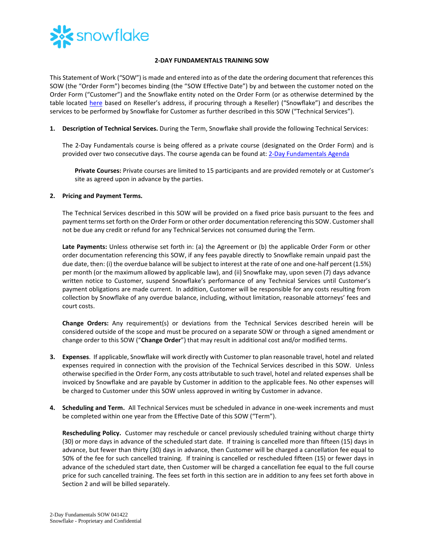

## **2-DAY FUNDAMENTALS TRAINING SOW**

This Statement of Work ("SOW") is made and entered into as of the date the ordering document that references this SOW (the "Order Form") becomes binding (the "SOW Effective Date") by and between the customer noted on the Order Form ("Customer") and the Snowflake entity noted on the Order Form (or as otherwise determined by the table located [here](https://www.snowflake.com/legal/snowflake-contracting-entities/) based on Reseller's address, if procuring through a Reseller) ("Snowflake") and describes the services to be performed by Snowflake for Customer as further described in this SOW ("Technical Services").

**1. Description of Technical Services.** During the Term, Snowflake shall provide the following Technical Services:

The 2-Day Fundamentals course is being offered as a private course (designated on the Order Form) and is provided over two consecutive days. The course agenda can be found at: [2-Day Fundamentals Agenda](https://bit.ly/2DayFund-datasheet)

**Private Courses:** Private courses are limited to 15 participants and are provided remotely or at Customer's site as agreed upon in advance by the parties.

## **2. Pricing and Payment Terms.**

The Technical Services described in this SOW will be provided on a fixed price basis pursuant to the fees and payment termsset forth on the Order Form or other order documentation referencing this SOW. Customer shall not be due any credit or refund for any Technical Services not consumed during the Term.

**Late Payments:** Unless otherwise set forth in: (a) the Agreement or (b) the applicable Order Form or other order documentation referencing this SOW, if any fees payable directly to Snowflake remain unpaid past the due date, then: (i) the overdue balance will be subject to interest at the rate of one and one-half percent (1.5%) per month (or the maximum allowed by applicable law), and (ii) Snowflake may, upon seven (7) days advance written notice to Customer, suspend Snowflake's performance of any Technical Services until Customer's payment obligations are made current. In addition, Customer will be responsible for any costs resulting from collection by Snowflake of any overdue balance, including, without limitation, reasonable attorneys' fees and court costs.

**Change Orders:** Any requirement(s) or deviations from the Technical Services described herein will be considered outside of the scope and must be procured on a separate SOW or through a signed amendment or change order to this SOW ("**Change Order**") that may result in additional cost and/or modified terms.

- **3. Expenses**. If applicable, Snowflake will work directly with Customer to plan reasonable travel, hotel and related expenses required in connection with the provision of the Technical Services described in this SOW. Unless otherwise specified in the Order Form, any costs attributable to such travel, hotel and related expenses shall be invoiced by Snowflake and are payable by Customer in addition to the applicable fees. No other expenses will be charged to Customer under this SOW unless approved in writing by Customer in advance.
- **4. Scheduling and Term.** All Technical Services must be scheduled in advance in one-week increments and must be completed within one year from the Effective Date of this SOW ("Term").

**Rescheduling Policy.** Customer may reschedule or cancel previously scheduled training without charge thirty (30) or more days in advance of the scheduled start date. If training is cancelled more than fifteen (15) days in advance, but fewer than thirty (30) days in advance, then Customer will be charged a cancellation fee equal to 50% of the fee for such cancelled training. If training is cancelled or rescheduled fifteen (15) or fewer days in advance of the scheduled start date, then Customer will be charged a cancellation fee equal to the full course price for such cancelled training. The fees set forth in this section are in addition to any fees set forth above in Section 2 and will be billed separately.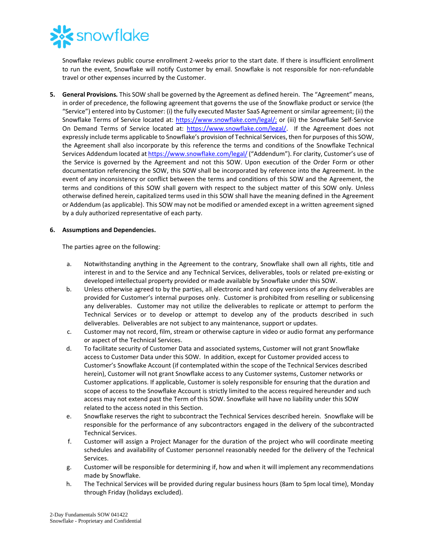

Snowflake reviews public course enrollment 2-weeks prior to the start date. If there is insufficient enrollment to run the event, Snowflake will notify Customer by email. Snowflake is not responsible for non-refundable travel or other expenses incurred by the Customer.

**5. General Provisions.** This SOW shall be governed by the Agreement as defined herein. The "Agreement" means, in order of precedence, the following agreement that governs the use of the Snowflake product or service (the "Service") entered into by Customer: (i) the fully executed Master SaaS Agreement or similar agreement; (ii) the Snowflake Terms of Service located at: [https://www.snowflake.com/legal/;](https://www.snowflake.com/legal/) or (iii) the Snowflake Self-Service On Demand Terms of Service located at: [https://www.snowflake.com/legal/.](https://www.snowflake.com/legal/) If the Agreement does not expressly include terms applicable to Snowflake's provision of Technical Services, then for purposes of this SOW, the Agreement shall also incorporate by this reference the terms and conditions of the Snowflake Technical Services Addendum located a[t https://www.snowflake.com/legal/](https://www.snowflake.com/legal/) ("Addendum"). For clarity, Customer's use of the Service is governed by the Agreement and not this SOW. Upon execution of the Order Form or other documentation referencing the SOW, this SOW shall be incorporated by reference into the Agreement. In the event of any inconsistency or conflict between the terms and conditions of this SOW and the Agreement, the terms and conditions of this SOW shall govern with respect to the subject matter of this SOW only. Unless otherwise defined herein, capitalized terms used in this SOW shall have the meaning defined in the Agreement or Addendum (as applicable). This SOW may not be modified or amended except in a written agreement signed by a duly authorized representative of each party.

## **6. Assumptions and Dependencies.**

The parties agree on the following:

- a. Notwithstanding anything in the Agreement to the contrary, Snowflake shall own all rights, title and interest in and to the Service and any Technical Services, deliverables, tools or related pre-existing or developed intellectual property provided or made available by Snowflake under this SOW.
- b. Unless otherwise agreed to by the parties, all electronic and hard copy versions of any deliverables are provided for Customer's internal purposes only. Customer is prohibited from reselling or sublicensing any deliverables. Customer may not utilize the deliverables to replicate or attempt to perform the Technical Services or to develop or attempt to develop any of the products described in such deliverables. Deliverables are not subject to any maintenance, support or updates.
- c. Customer may not record, film, stream or otherwise capture in video or audio format any performance or aspect of the Technical Services.
- d. To facilitate security of Customer Data and associated systems, Customer will not grant Snowflake access to Customer Data under this SOW. In addition, except for Customer provided access to Customer's Snowflake Account (if contemplated within the scope of the Technical Services described herein), Customer will not grant Snowflake access to any Customer systems, Customer networks or Customer applications. If applicable, Customer is solely responsible for ensuring that the duration and scope of access to the Snowflake Account is strictly limited to the access required hereunder and such access may not extend past the Term of this SOW. Snowflake will have no liability under this SOW related to the access noted in this Section.
- e. Snowflake reserves the right to subcontract the Technical Services described herein. Snowflake will be responsible for the performance of any subcontractors engaged in the delivery of the subcontracted Technical Services.
- f. Customer will assign a Project Manager for the duration of the project who will coordinate meeting schedules and availability of Customer personnel reasonably needed for the delivery of the Technical Services.
- g. Customer will be responsible for determining if, how and when it will implement any recommendations made by Snowflake.
- h. The Technical Services will be provided during regular business hours (8am to 5pm local time), Monday through Friday (holidays excluded).